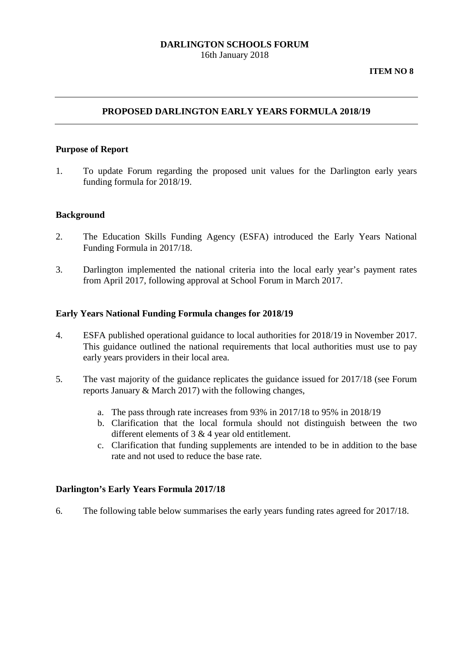### **DARLINGTON SCHOOLS FORUM** 16th January 2018

# **PROPOSED DARLINGTON EARLY YEARS FORMULA 2018/19**

#### **Purpose of Report**

1. To update Forum regarding the proposed unit values for the Darlington early years funding formula for 2018/19.

#### **Background**

- 2. The Education Skills Funding Agency (ESFA) introduced the Early Years National Funding Formula in 2017/18.
- 3. Darlington implemented the national criteria into the local early year's payment rates from April 2017, following approval at School Forum in March 2017.

#### **Early Years National Funding Formula changes for 2018/19**

- 4. ESFA published operational guidance to local authorities for 2018/19 in November 2017. This guidance outlined the national requirements that local authorities must use to pay early years providers in their local area.
- 5. The vast majority of the guidance replicates the guidance issued for 2017/18 (see Forum reports January & March 2017) with the following changes,
	- a. The pass through rate increases from 93% in 2017/18 to 95% in 2018/19
	- b. Clarification that the local formula should not distinguish between the two different elements of 3 & 4 year old entitlement.
	- c. Clarification that funding supplements are intended to be in addition to the base rate and not used to reduce the base rate.

### **Darlington's Early Years Formula 2017/18**

6. The following table below summarises the early years funding rates agreed for 2017/18.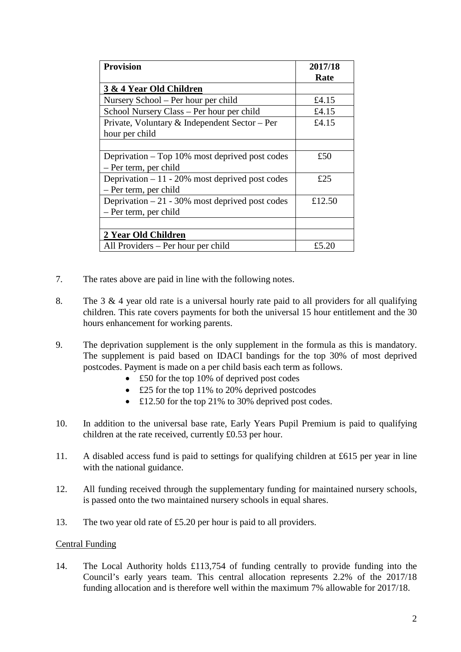| <b>Provision</b>                                  | 2017/18 |
|---------------------------------------------------|---------|
|                                                   | Rate    |
| 3 & 4 Year Old Children                           |         |
| Nursery School – Per hour per child               | £4.15   |
| School Nursery Class – Per hour per child         | £4.15   |
| Private, Voluntary & Independent Sector - Per     | £4.15   |
| hour per child                                    |         |
|                                                   |         |
| Deprivation – Top 10% most deprived post codes    | £50     |
| - Per term, per child                             |         |
| Deprivation $-11 - 20\%$ most deprived post codes | £25     |
| – Per term, per child                             |         |
| Deprivation $-21 - 30\%$ most deprived post codes | £12.50  |
| - Per term, per child                             |         |
|                                                   |         |
| 2 Year Old Children                               |         |
| All Providers – Per hour per child                | £5.20   |

- 7. The rates above are paid in line with the following notes.
- 8. The 3 & 4 year old rate is a universal hourly rate paid to all providers for all qualifying children. This rate covers payments for both the universal 15 hour entitlement and the 30 hours enhancement for working parents.
- 9. The deprivation supplement is the only supplement in the formula as this is mandatory. The supplement is paid based on IDACI bandings for the top 30% of most deprived postcodes. Payment is made on a per child basis each term as follows.
	- £50 for the top 10% of deprived post codes
	- £25 for the top 11% to 20% deprived postcodes
	- £12.50 for the top 21% to 30% deprived post codes.
- 10. In addition to the universal base rate, Early Years Pupil Premium is paid to qualifying children at the rate received, currently £0.53 per hour.
- 11. A disabled access fund is paid to settings for qualifying children at £615 per year in line with the national guidance.
- 12. All funding received through the supplementary funding for maintained nursery schools, is passed onto the two maintained nursery schools in equal shares.
- 13. The two year old rate of £5.20 per hour is paid to all providers.

#### Central Funding

14. The Local Authority holds £113,754 of funding centrally to provide funding into the Council's early years team. This central allocation represents 2.2% of the 2017/18 funding allocation and is therefore well within the maximum 7% allowable for 2017/18.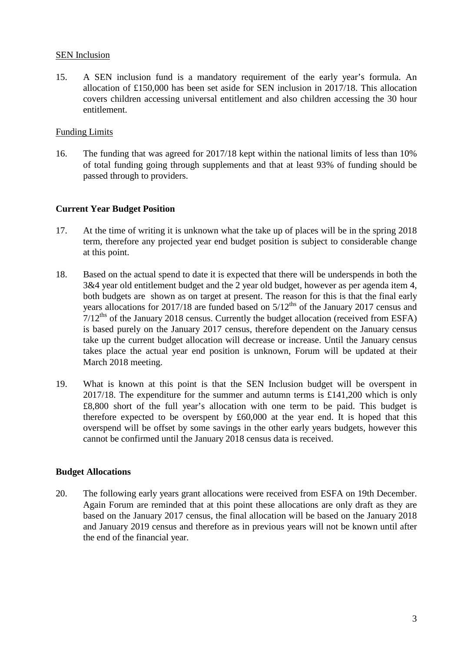## SEN Inclusion

15. A SEN inclusion fund is a mandatory requirement of the early year's formula. An allocation of £150,000 has been set aside for SEN inclusion in 2017/18. This allocation covers children accessing universal entitlement and also children accessing the 30 hour entitlement.

# Funding Limits

16. The funding that was agreed for 2017/18 kept within the national limits of less than 10% of total funding going through supplements and that at least 93% of funding should be passed through to providers.

## **Current Year Budget Position**

- 17. At the time of writing it is unknown what the take up of places will be in the spring 2018 term, therefore any projected year end budget position is subject to considerable change at this point.
- 18. Based on the actual spend to date it is expected that there will be underspends in both the 3&4 year old entitlement budget and the 2 year old budget, however as per agenda item 4, both budgets are shown as on target at present. The reason for this is that the final early years allocations for 2017/18 are funded based on  $5/12^{ths}$  of the January 2017 census and  $7/12<sup>ths</sup>$  of the January 2018 census. Currently the budget allocation (received from ESFA) is based purely on the January 2017 census, therefore dependent on the January census take up the current budget allocation will decrease or increase. Until the January census takes place the actual year end position is unknown, Forum will be updated at their March 2018 meeting.
- 19. What is known at this point is that the SEN Inclusion budget will be overspent in 2017/18. The expenditure for the summer and autumn terms is £141,200 which is only £8,800 short of the full year's allocation with one term to be paid. This budget is therefore expected to be overspent by £60,000 at the year end. It is hoped that this overspend will be offset by some savings in the other early years budgets, however this cannot be confirmed until the January 2018 census data is received.

### **Budget Allocations**

20. The following early years grant allocations were received from ESFA on 19th December. Again Forum are reminded that at this point these allocations are only draft as they are based on the January 2017 census, the final allocation will be based on the January 2018 and January 2019 census and therefore as in previous years will not be known until after the end of the financial year.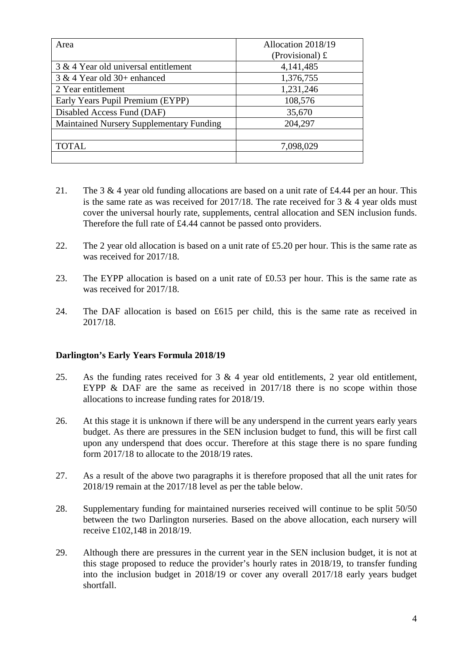| Area                                     | Allocation 2018/19      |  |
|------------------------------------------|-------------------------|--|
|                                          | (Provisional) $\pounds$ |  |
| 3 & 4 Year old universal entitlement     | 4,141,485               |  |
| $3 & 4$ Year old $30+$ enhanced          | 1,376,755               |  |
| 2 Year entitlement                       | 1,231,246               |  |
| Early Years Pupil Premium (EYPP)         | 108,576                 |  |
| Disabled Access Fund (DAF)               | 35,670                  |  |
| Maintained Nursery Supplementary Funding | 204,297                 |  |
|                                          |                         |  |
| <b>TOTAL</b>                             | 7,098,029               |  |
|                                          |                         |  |

- 21. The 3 & 4 year old funding allocations are based on a unit rate of £4.44 per an hour. This is the same rate as was received for  $2017/18$ . The rate received for 3 & 4 year olds must cover the universal hourly rate, supplements, central allocation and SEN inclusion funds. Therefore the full rate of £4.44 cannot be passed onto providers.
- 22. The 2 year old allocation is based on a unit rate of £5.20 per hour. This is the same rate as was received for 2017/18.
- 23. The EYPP allocation is based on a unit rate of £0.53 per hour. This is the same rate as was received for 2017/18.
- 24. The DAF allocation is based on £615 per child, this is the same rate as received in 2017/18.

### **Darlington's Early Years Formula 2018/19**

- 25. As the funding rates received for 3 & 4 year old entitlements, 2 year old entitlement, EYPP & DAF are the same as received in 2017/18 there is no scope within those allocations to increase funding rates for 2018/19.
- 26. At this stage it is unknown if there will be any underspend in the current years early years budget. As there are pressures in the SEN inclusion budget to fund, this will be first call upon any underspend that does occur. Therefore at this stage there is no spare funding form 2017/18 to allocate to the 2018/19 rates.
- 27. As a result of the above two paragraphs it is therefore proposed that all the unit rates for 2018/19 remain at the 2017/18 level as per the table below.
- 28. Supplementary funding for maintained nurseries received will continue to be split 50/50 between the two Darlington nurseries. Based on the above allocation, each nursery will receive £102,148 in 2018/19.
- 29. Although there are pressures in the current year in the SEN inclusion budget, it is not at this stage proposed to reduce the provider's hourly rates in 2018/19, to transfer funding into the inclusion budget in 2018/19 or cover any overall 2017/18 early years budget shortfall.